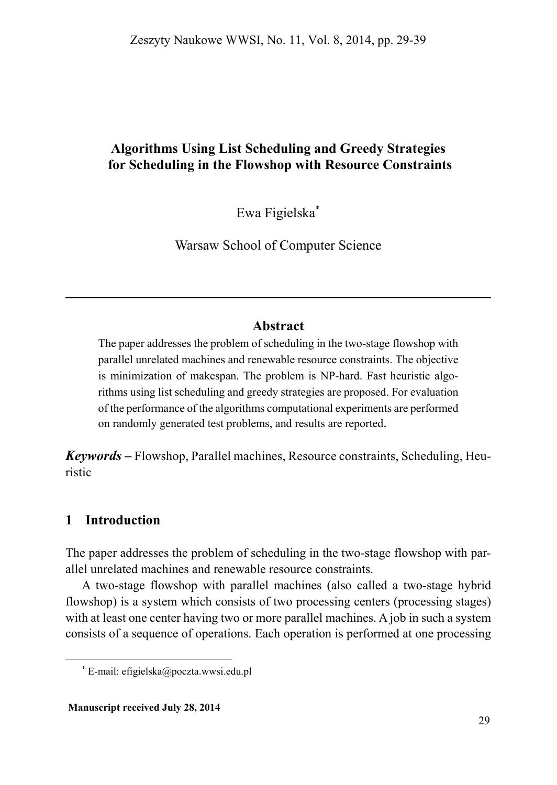## **Algorithms Using List Scheduling and Greedy Strategies for Scheduling in the Flowshop with Resource Constraints**

Ewa Figielska\*

Warsaw School of Computer Science

### **Abstract**

The paper addresses the problem of scheduling in the two-stage flowshop with parallel unrelated machines and renewable resource constraints. The objective is minimization of makespan. The problem is NP-hard. Fast heuristic algorithms using list scheduling and greedy strategies are proposed. For evaluation of the performance of the algorithms computational experiments are performed on randomly generated test problems, and results are reported.

*Keywords –* Flowshop, Parallel machines, Resource constraints, Scheduling, Heuristic

## **1 Introduction**

 $\overline{\phantom{a}}$ 

The paper addresses the problem of scheduling in the two-stage flowshop with parallel unrelated machines and renewable resource constraints.

A two-stage flowshop with parallel machines (also called a two-stage hybrid flowshop) is a system which consists of two processing centers (processing stages) with at least one center having two or more parallel machines. A job in such a system consists of a sequence of operations. Each operation is performed at one processing

<sup>\*</sup> E-mail: efigielska@poczta.wwsi.edu.pl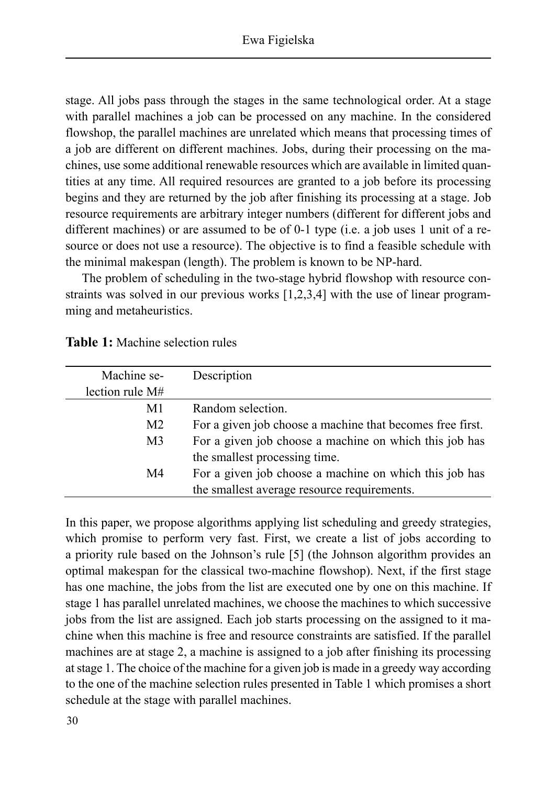stage. All jobs pass through the stages in the same technological order. At a stage with parallel machines a job can be processed on any machine. In the considered flowshop, the parallel machines are unrelated which means that processing times of a job are different on different machines. Jobs, during their processing on the machines, use some additional renewable resources which are available in limited quantities at any time. All required resources are granted to a job before its processing begins and they are returned by the job after finishing its processing at a stage. Job resource requirements are arbitrary integer numbers (different for different jobs and different machines) or are assumed to be of 0-1 type (i.e. a job uses 1 unit of a resource or does not use a resource). The objective is to find a feasible schedule with the minimal makespan (length). The problem is known to be NP-hard.

The problem of scheduling in the two-stage hybrid flowshop with resource constraints was solved in our previous works [1,2,3,4] with the use of linear programming and metaheuristics.

| Machine se-     | Description                                               |
|-----------------|-----------------------------------------------------------|
| lection rule M# |                                                           |
| M1              | Random selection.                                         |
| M <sub>2</sub>  | For a given job choose a machine that becomes free first. |
| M <sub>3</sub>  | For a given job choose a machine on which this job has    |
|                 | the smallest processing time.                             |
| M4              | For a given job choose a machine on which this job has    |
|                 | the smallest average resource requirements.               |

| <b>Table 1:</b> Machine selection rules |  |
|-----------------------------------------|--|
|-----------------------------------------|--|

In this paper, we propose algorithms applying list scheduling and greedy strategies, which promise to perform very fast. First, we create a list of jobs according to a priority rule based on the Johnson's rule [5] (the Johnson algorithm provides an optimal makespan for the classical two-machine flowshop). Next, if the first stage has one machine, the jobs from the list are executed one by one on this machine. If stage 1 has parallel unrelated machines, we choose the machines to which successive jobs from the list are assigned. Each job starts processing on the assigned to it machine when this machine is free and resource constraints are satisfied. If the parallel machines are at stage 2, a machine is assigned to a job after finishing its processing at stage 1. The choice of the machine for a given job is made in a greedy way according to the one of the machine selection rules presented in Table 1 which promises a short schedule at the stage with parallel machines.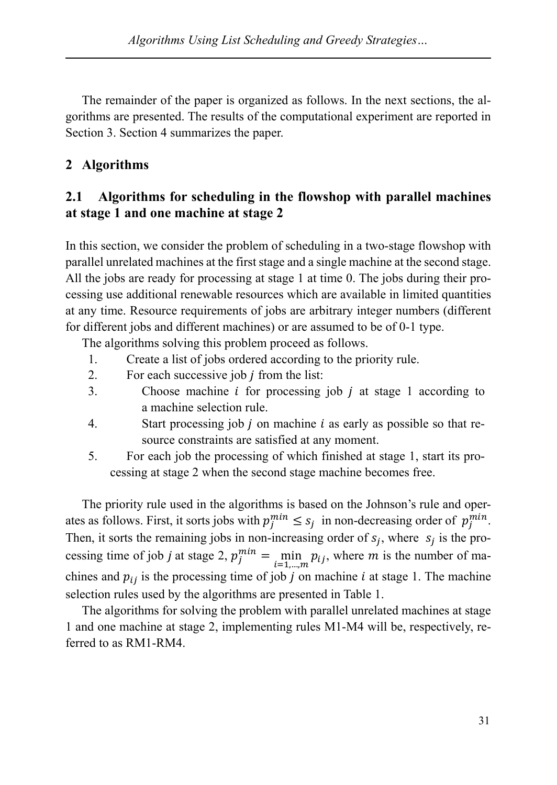The remainder of the paper is organized as follows. In the next sections, the algorithms are presented. The results of the computational experiment are reported in Section 3. Section 4 summarizes the paper.

# **2 Algorithms**

## **2.1 Algorithms for scheduling in the flowshop with parallel machines at stage 1 and one machine at stage 2**

In this section, we consider the problem of scheduling in a two-stage flowshop with parallel unrelated machines at the first stage and a single machine at the second stage. All the jobs are ready for processing at stage 1 at time 0. The jobs during their processing use additional renewable resources which are available in limited quantities at any time. Resource requirements of jobs are arbitrary integer numbers (different for different jobs and different machines) or are assumed to be of 0-1 type.

The algorithms solving this problem proceed as follows.

- 1. Create a list of jobs ordered according to the priority rule.
- 2. For each successive job  *from the list:*
- 3. Choose machine  $i$  for processing job  $j$  at stage 1 according to a machine selection rule.
- 4. Start processing job *i* on machine *i* as early as possible so that resource constraints are satisfied at any moment.
- 5. For each job the processing of which finished at stage 1, start its processing at stage 2 when the second stage machine becomes free.

The priority rule used in the algorithms is based on the Johnson's rule and operates as follows. First, it sorts jobs with  $p_j^{min} \le s_j$  in non-decreasing order of  $p_j^{min}$ . Then, it sorts the remaining jobs in non-increasing order of  $s_i$ , where  $s_i$  is the processing time of job *j* at stage 2,  $p_j^{min} = \min_{i=1,\dots,m} p_{ij}$ , where *m* is the number of machines and  $p_{ij}$  is the processing time of job j on machine i at stage 1. The machine selection rules used by the algorithms are presented in Table 1.

The algorithms for solving the problem with parallel unrelated machines at stage 1 and one machine at stage 2, implementing rules M1-M4 will be, respectively, referred to as RM1-RM4.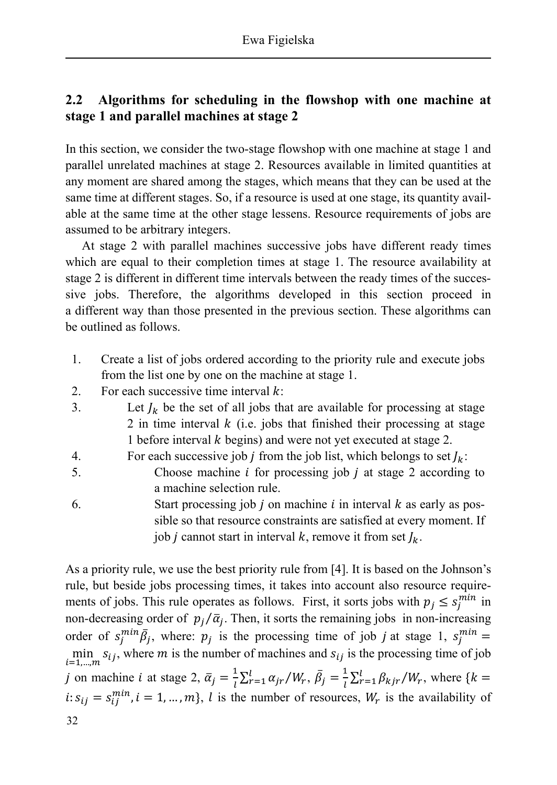## **2.2 Algorithms for scheduling in the flowshop with one machine at stage 1 and parallel machines at stage 2**

In this section, we consider the two-stage flowshop with one machine at stage 1 and parallel unrelated machines at stage 2. Resources available in limited quantities at any moment are shared among the stages, which means that they can be used at the same time at different stages. So, if a resource is used at one stage, its quantity available at the same time at the other stage lessens. Resource requirements of jobs are assumed to be arbitrary integers.

At stage 2 with parallel machines successive jobs have different ready times which are equal to their completion times at stage 1. The resource availability at stage 2 is different in different time intervals between the ready times of the successive jobs. Therefore, the algorithms developed in this section proceed in a different way than those presented in the previous section. These algorithms can be outlined as follows.

- 1. Create a list of jobs ordered according to the priority rule and execute jobs from the list one by one on the machine at stage 1.
- 2. For each successive time interval  $k$ :
- 3. Let  $J_k$  be the set of all jobs that are available for processing at stage 2 in time interval  $k$  (i.e. jobs that finished their processing at stage 1 before interval  $k$  begins) and were not yet executed at stage 2.
- 4. For each successive job *j* from the job list, which belongs to set  $J_k$ :
- 5. Choose machine  $i$  for processing job  $j$  at stage 2 according to a machine selection rule.
- 6. Start processing job  $j$  on machine  $i$  in interval  $k$  as early as possible so that resource constraints are satisfied at every moment. If job *j* cannot start in interval *k*, remove it from set  $J_k$ .

As a priority rule, we use the best priority rule from [4]. It is based on the Johnson's rule, but beside jobs processing times, it takes into account also resource requirements of jobs. This rule operates as follows. First, it sorts jobs with  $p_j \leq s_j^{min}$  in non-decreasing order of  $p_j/\bar{a}_j$ . Then, it sorts the remaining jobs in non-increasing order of  $s_j^{min} \overline{\beta}_j$ , where:  $p_j$  is the processing time of job *j* at stage 1,  $s_j^{min} =$ min  $s_{ij}$ , where *m* is the number of machines and  $s_{ij}$  is the processing time of job *j* on machine *i* at stage 2,  $\bar{\alpha}_j = \frac{1}{l}$  $\sum_{r=1}^{l} \alpha_{jr} / W_r, \, \bar{\beta}_j = \frac{1}{l}$  $\sum_{r=1}^{l} \beta_{kjr} / W_r$ , where { $k =$  $i: s_{ij} = s_{ij}^{min}$ ,  $i = 1, ..., m$ , l is the number of resources,  $W_r$  is the availability of 32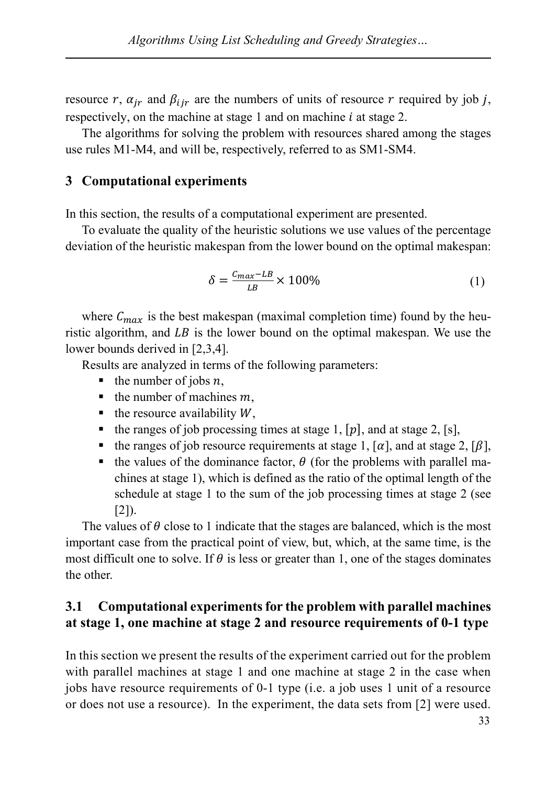resource r,  $\alpha_{ir}$  and  $\beta_{iir}$  are the numbers of units of resource r required by job j, respectively, on the machine at stage 1 and on machine  $i$  at stage 2.

The algorithms for solving the problem with resources shared among the stages use rules M1-M4, and will be, respectively, referred to as SM1-SM4.

#### **3 Computational experiments**

In this section, the results of a computational experiment are presented.

To evaluate the quality of the heuristic solutions we use values of the percentage deviation of the heuristic makespan from the lower bound on the optimal makespan:

$$
\delta = \frac{C_{max} - LB}{LB} \times 100\%
$$
 (1)

where  $C_{max}$  is the best makespan (maximal completion time) found by the heuristic algorithm, and  $LB$  is the lower bound on the optimal makespan. We use the lower bounds derived in [2,3,4].

Results are analyzed in terms of the following parameters:

- $\blacksquare$  the number of jobs *n*,
- $\blacksquare$  the number of machines m,
- $\blacksquare$  the resource availability W.
- the ranges of job processing times at stage 1,  $[p]$ , and at stage 2, [s],
- the ranges of job resource requirements at stage 1,  $[\alpha]$ , and at stage 2,  $[\beta]$ ,
- the values of the dominance factor,  $\theta$  (for the problems with parallel machines at stage 1), which is defined as the ratio of the optimal length of the schedule at stage 1 to the sum of the job processing times at stage 2 (see  $[2]$ .

The values of  $\theta$  close to 1 indicate that the stages are balanced, which is the most important case from the practical point of view, but, which, at the same time, is the most difficult one to solve. If  $\theta$  is less or greater than 1, one of the stages dominates the other.

### **3.1 Computational experiments for the problem with parallel machines at stage 1, one machine at stage 2 and resource requirements of 0-1 type**

In this section we present the results of the experiment carried out for the problem with parallel machines at stage 1 and one machine at stage 2 in the case when jobs have resource requirements of 0-1 type (i.e. a job uses 1 unit of a resource or does not use a resource). In the experiment, the data sets from [2] were used.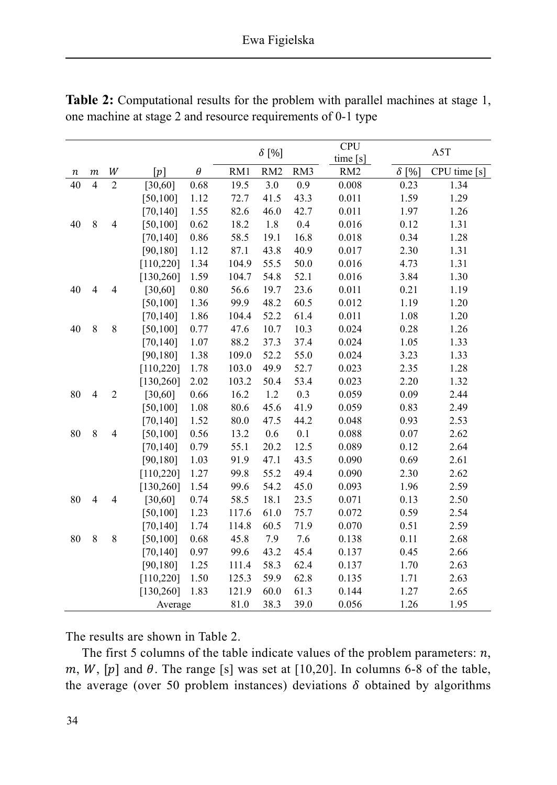|    |                          |                          |            |          | $\delta$ [%] |                 | <b>CPU</b><br>time[s] | A5T             |              |              |
|----|--------------------------|--------------------------|------------|----------|--------------|-----------------|-----------------------|-----------------|--------------|--------------|
| п  | $\boldsymbol{m}$         | W                        | [p]        | $\theta$ | RM1          | RM <sub>2</sub> | RM3                   | RM <sub>2</sub> | $\delta$ [%] | CPU time [s] |
| 40 | $\overline{\mathcal{L}}$ | $\overline{2}$           | [30, 60]   | 0.68     | 19.5         | 3.0             | 0.9                   | 0.008           | 0.23         | 1.34         |
|    |                          |                          | [50, 100]  | 1.12     | 72.7         | 41.5            | 43.3                  | 0.011           | 1.59         | 1.29         |
|    |                          |                          | [70, 140]  | 1.55     | 82.6         | 46.0            | 42.7                  | 0.011           | 1.97         | 1.26         |
| 40 | 8                        | $\overline{\mathcal{L}}$ | [50, 100]  | 0.62     | 18.2         | 1.8             | 0.4                   | 0.016           | 0.12         | 1.31         |
|    |                          |                          | [70, 140]  | 0.86     | 58.5         | 19.1            | 16.8                  | 0.018           | 0.34         | 1.28         |
|    |                          |                          | [90, 180]  | 1.12     | 87.1         | 43.8            | 40.9                  | 0.017           | 2.30         | 1.31         |
|    |                          |                          | [110, 220] | 1.34     | 104.9        | 55.5            | 50.0                  | 0.016           | 4.73         | 1.31         |
|    |                          |                          | [130, 260] | 1.59     | 104.7        | 54.8            | 52.1                  | 0.016           | 3.84         | 1.30         |
| 40 | $\overline{4}$           | $\overline{4}$           | [30, 60]   | 0.80     | 56.6         | 19.7            | 23.6                  | 0.011           | 0.21         | 1.19         |
|    |                          |                          | [50, 100]  | 1.36     | 99.9         | 48.2            | 60.5                  | 0.012           | 1.19         | 1.20         |
|    |                          |                          | [70, 140]  | 1.86     | 104.4        | 52.2            | 61.4                  | 0.011           | 1.08         | 1.20         |
| 40 | 8                        | $\,$ $\,$                | [50, 100]  | 0.77     | 47.6         | 10.7            | 10.3                  | 0.024           | 0.28         | 1.26         |
|    |                          |                          | [70, 140]  | 1.07     | 88.2         | 37.3            | 37.4                  | 0.024           | 1.05         | 1.33         |
|    |                          |                          | [90, 180]  | 1.38     | 109.0        | 52.2            | 55.0                  | 0.024           | 3.23         | 1.33         |
|    |                          |                          | [110, 220] | 1.78     | 103.0        | 49.9            | 52.7                  | 0.023           | 2.35         | 1.28         |
|    |                          |                          | [130, 260] | 2.02     | 103.2        | 50.4            | 53.4                  | 0.023           | 2.20         | 1.32         |
| 80 | $\overline{4}$           | $\sqrt{2}$               | [30, 60]   | 0.66     | 16.2         | 1.2             | 0.3                   | 0.059           | 0.09         | 2.44         |
|    |                          |                          | [50, 100]  | 1.08     | 80.6         | 45.6            | 41.9                  | 0.059           | 0.83         | 2.49         |
|    |                          |                          | [70, 140]  | 1.52     | 80.0         | 47.5            | 44.2                  | 0.048           | 0.93         | 2.53         |
| 80 | 8                        | $\overline{4}$           | [50, 100]  | 0.56     | 13.2         | 0.6             | 0.1                   | 0.088           | 0.07         | 2.62         |
|    |                          |                          | [70, 140]  | 0.79     | 55.1         | 20.2            | 12.5                  | 0.089           | 0.12         | 2.64         |
|    |                          |                          | [90, 180]  | 1.03     | 91.9         | 47.1            | 43.5                  | 0.090           | 0.69         | 2.61         |
|    |                          |                          | [110, 220] | 1.27     | 99.8         | 55.2            | 49.4                  | 0.090           | 2.30         | 2.62         |
|    |                          |                          | [130, 260] | 1.54     | 99.6         | 54.2            | 45.0                  | 0.093           | 1.96         | 2.59         |
| 80 | $\overline{4}$           | 4                        | [30,60]    | 0.74     | 58.5         | 18.1            | 23.5                  | 0.071           | 0.13         | 2.50         |
|    |                          |                          | [50, 100]  | 1.23     | 117.6        | 61.0            | 75.7                  | 0.072           | 0.59         | 2.54         |
|    |                          |                          | [70, 140]  | 1.74     | 114.8        | 60.5            | 71.9                  | 0.070           | 0.51         | 2.59         |
| 80 | 8                        | $\,8\,$                  | [50, 100]  | 0.68     | 45.8         | 7.9             | 7.6                   | 0.138           | 0.11         | 2.68         |
|    |                          |                          | [70, 140]  | 0.97     | 99.6         | 43.2            | 45.4                  | 0.137           | 0.45         | 2.66         |
|    |                          |                          | [90, 180]  | 1.25     | 111.4        | 58.3            | 62.4                  | 0.137           | 1.70         | 2.63         |
|    |                          |                          | [110, 220] | 1.50     | 125.3        | 59.9            | 62.8                  | 0.135           | 1.71         | 2.63         |
|    |                          |                          | [130, 260] | 1.83     | 121.9        | 60.0            | 61.3                  | 0.144           | 1.27         | 2.65         |
|    |                          |                          | Average    |          | 81.0         | 38.3            | 39.0                  | 0.056           | 1.26         | 1.95         |

**Table 2:** Computational results for the problem with parallel machines at stage 1, one machine at stage 2 and resource requirements of 0-1 type

The results are shown in Table 2.

The first 5 columns of the table indicate values of the problem parameters:  $n$ ,  $m, W, [p]$  and  $\theta$ . The range [s] was set at [10,20]. In columns 6-8 of the table, the average (over 50 problem instances) deviations  $\delta$  obtained by algorithms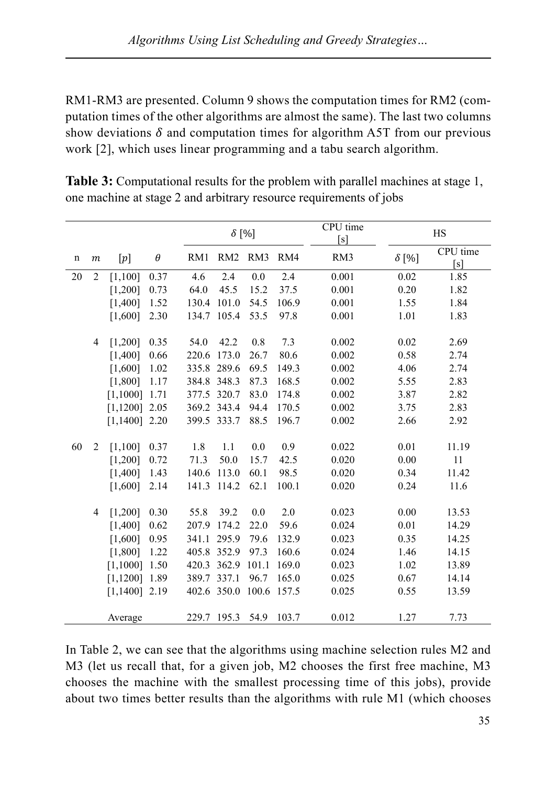RM1-RM3 are presented. Column 9 shows the computation times for RM2 (computation times of the other algorithms are almost the same). The last two columns show deviations  $\delta$  and computation times for algorithm A5T from our previous work [2], which uses linear programming and a tabu search algorithm.

|             |                  |                 |          | $\delta$ [%] |                         |       |       | CPU time<br>[s] | HS           |                 |
|-------------|------------------|-----------------|----------|--------------|-------------------------|-------|-------|-----------------|--------------|-----------------|
| $\mathbf n$ | $\boldsymbol{m}$ | $[p]$           | $\theta$ | RM1          | RM2 RM3                 |       | RM4   | RM3             | $\delta$ [%] | CPU time<br>[s] |
| 20          | 2                | [1,100]         | 0.37     | 4.6          | 2.4                     | 0.0   | 2.4   | 0.001           | 0.02         | 1.85            |
|             |                  | [1,200]         | 0.73     | 64.0         | 45.5                    | 15.2  | 37.5  | 0.001           | 0.20         | 1.82            |
|             |                  | [1,400]         | 1.52     |              | 130.4 101.0             | 54.5  | 106.9 | 0.001           | 1.55         | 1.84            |
|             |                  | [1,600]         | 2.30     |              | 134.7 105.4             | 53.5  | 97.8  | 0.001           | 1.01         | 1.83            |
|             | $\overline{4}$   | $[1,200]$ 0.35  |          | 54.0         | 42.2                    | 0.8   | 7.3   | 0.002           | 0.02         | 2.69            |
|             |                  | $[1,400]$ 0.66  |          | 220.6 173.0  |                         | 26.7  | 80.6  | 0.002           | 0.58         | 2.74            |
|             |                  | [1,600]         | $1.02\,$ |              | 335.8 289.6             | 69.5  | 149.3 | 0.002           | 4.06         | 2.74            |
|             |                  | [1,800]         | 1.17     | 384.8 348.3  |                         | 87.3  | 168.5 | 0.002           | 5.55         | 2.83            |
|             |                  | $[1,1000]$ 1.71 |          |              | 377.5 320.7             | 83.0  | 174.8 | 0.002           | 3.87         | 2.82            |
|             |                  | $[1,1200]$ 2.05 |          |              | 369.2 343.4             | 94.4  | 170.5 | 0.002           | 3.75         | 2.83            |
|             |                  | $[1,1400]$ 2.20 |          |              | 399.5 333.7             | 88.5  | 196.7 | 0.002           | 2.66         | 2.92            |
| 60          | $\overline{2}$   | $[1,100]$ 0.37  |          | 1.8          | 1.1                     | 0.0   | 0.9   | 0.022           | 0.01         | 11.19           |
|             |                  | [1,200]         | 0.72     | 71.3         | 50.0                    | 15.7  | 42.5  | 0.020           | 0.00         | 11              |
|             |                  | [1,400]         | 1.43     |              | 140.6 113.0             | 60.1  | 98.5  | 0.020           | 0.34         | 11.42           |
|             |                  | [1,600]         | 2.14     |              | 141.3 114.2             | 62.1  | 100.1 | 0.020           | 0.24         | 11.6            |
|             | 4                | $[1,200]$ 0.30  |          | 55.8         | 39.2                    | 0.0   | 2.0   | 0.023           | 0.00         | 13.53           |
|             |                  | [1,400]         | 0.62     |              | 207.9 174.2             | 22.0  | 59.6  | 0.024           | 0.01         | 14.29           |
|             |                  | $[1,600]$ 0.95  |          |              | 341.1 295.9             | 79.6  | 132.9 | 0.023           | 0.35         | 14.25           |
|             |                  | $[1,800]$ 1.22  |          |              | 405.8 352.9             | 97.3  | 160.6 | 0.024           | 1.46         | 14.15           |
|             |                  | $[1,1000]$ 1.50 |          |              | 420.3 362.9             | 101.1 | 169.0 | 0.023           | 1.02         | 13.89           |
|             |                  | $[1,1200]$ 1.89 |          |              | 389.7 337.1             | 96.7  | 165.0 | 0.025           | 0.67         | 14.14           |
|             |                  | $[1,1400]$ 2.19 |          |              | 402.6 350.0 100.6 157.5 |       |       | 0.025           | 0.55         | 13.59           |
|             |                  | Average         |          |              | 229.7 195.3 54.9 103.7  |       |       | 0.012           | 1.27         | 7.73            |

**Table 3:** Computational results for the problem with parallel machines at stage 1, one machine at stage 2 and arbitrary resource requirements of jobs

In Table 2, we can see that the algorithms using machine selection rules M2 and M3 (let us recall that, for a given job, M2 chooses the first free machine, M3 chooses the machine with the smallest processing time of this jobs), provide about two times better results than the algorithms with rule M1 (which chooses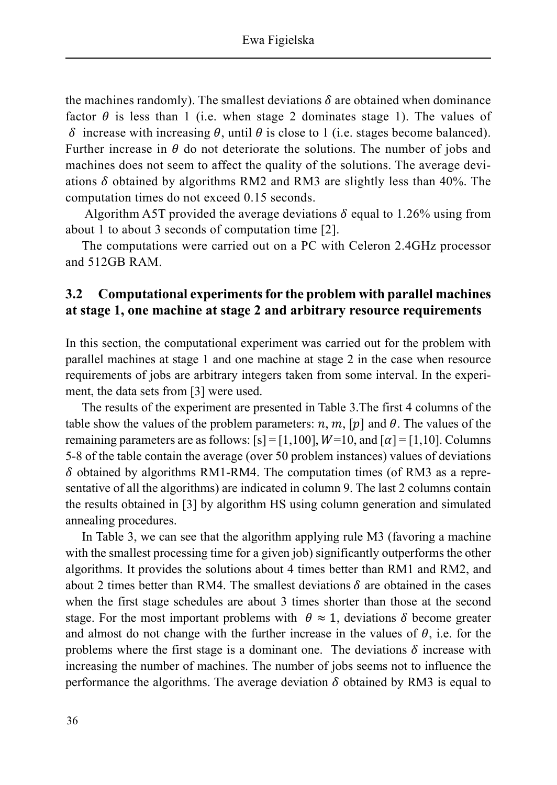the machines randomly). The smallest deviations  $\delta$  are obtained when dominance factor  $\theta$  is less than 1 (i.e. when stage 2 dominates stage 1). The values of  $\delta$  increase with increasing  $\theta$ , until  $\theta$  is close to 1 (i.e. stages become balanced). Further increase in  $\theta$  do not deteriorate the solutions. The number of jobs and machines does not seem to affect the quality of the solutions. The average deviations  $\delta$  obtained by algorithms RM2 and RM3 are slightly less than 40%. The computation times do not exceed 0.15 seconds.

Algorithm A5T provided the average deviations  $\delta$  equal to 1.26% using from about 1 to about 3 seconds of computation time [2].

The computations were carried out on a PC with Celeron 2.4GHz processor and 512GB RAM.

### **3.2 Computational experiments for the problem with parallel machines at stage 1, one machine at stage 2 and arbitrary resource requirements**

In this section, the computational experiment was carried out for the problem with parallel machines at stage 1 and one machine at stage 2 in the case when resource requirements of jobs are arbitrary integers taken from some interval. In the experiment, the data sets from [3] were used.

The results of the experiment are presented in Table 3.The first 4 columns of the table show the values of the problem parameters:  $n, m, [p]$  and  $\theta$ . The values of the remaining parameters are as follows:  $[s] = [1,100]$ ,  $W=10$ , and  $[\alpha] = [1,10]$ . Columns 5-8 of the table contain the average (over 50 problem instances) values of deviations  $\delta$  obtained by algorithms RM1-RM4. The computation times (of RM3 as a representative of all the algorithms) are indicated in column 9. The last 2 columns contain the results obtained in [3] by algorithm HS using column generation and simulated annealing procedures.

In Table 3, we can see that the algorithm applying rule M3 (favoring a machine with the smallest processing time for a given job) significantly outperforms the other algorithms. It provides the solutions about 4 times better than RM1 and RM2, and about 2 times better than RM4. The smallest deviations  $\delta$  are obtained in the cases when the first stage schedules are about 3 times shorter than those at the second stage. For the most important problems with  $\theta \approx 1$ , deviations  $\delta$  become greater and almost do not change with the further increase in the values of  $\theta$ , i.e. for the problems where the first stage is a dominant one. The deviations  $\delta$  increase with increasing the number of machines. The number of jobs seems not to influence the performance the algorithms. The average deviation  $\delta$  obtained by RM3 is equal to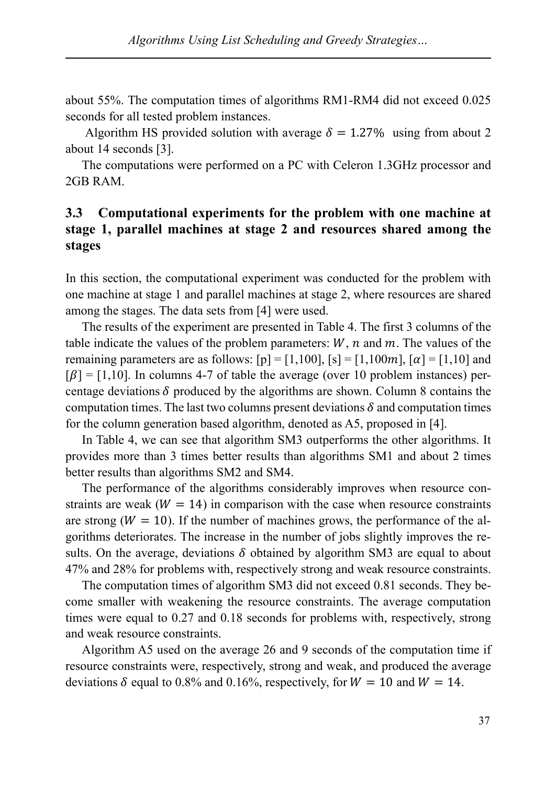about 55%. The computation times of algorithms RM1-RM4 did not exceed 0.025 seconds for all tested problem instances.

Algorithm HS provided solution with average  $\delta = 1.27\%$  using from about 2 about 14 seconds [3].

The computations were performed on a PC with Celeron 1.3GHz processor and 2GB RAM.

### **3.3 Computational experiments for the problem with one machine at stage 1, parallel machines at stage 2 and resources shared among the stages**

In this section, the computational experiment was conducted for the problem with one machine at stage 1 and parallel machines at stage 2, where resources are shared among the stages. The data sets from [4] were used.

The results of the experiment are presented in Table 4. The first 3 columns of the table indicate the values of the problem parameters:  $W$ ,  $n$  and  $m$ . The values of the remaining parameters are as follows:  $[p] = [1,100]$ ,  $[s] = [1,100m]$ ,  $[\alpha] = [1,10]$  and  $[β] = [1,10]$ . In columns 4-7 of table the average (over 10 problem instances) percentage deviations  $\delta$  produced by the algorithms are shown. Column 8 contains the computation times. The last two columns present deviations  $\delta$  and computation times for the column generation based algorithm, denoted as A5, proposed in [4].

In Table 4, we can see that algorithm SM3 outperforms the other algorithms. It provides more than 3 times better results than algorithms SM1 and about 2 times better results than algorithms SM2 and SM4.

 The performance of the algorithms considerably improves when resource constraints are weak ( $W = 14$ ) in comparison with the case when resource constraints are strong  $(W = 10)$ . If the number of machines grows, the performance of the algorithms deteriorates. The increase in the number of jobs slightly improves the results. On the average, deviations  $\delta$  obtained by algorithm SM3 are equal to about 47% and 28% for problems with, respectively strong and weak resource constraints.

The computation times of algorithm SM3 did not exceed 0.81 seconds. They become smaller with weakening the resource constraints. The average computation times were equal to 0.27 and 0.18 seconds for problems with, respectively, strong and weak resource constraints.

Algorithm A5 used on the average 26 and 9 seconds of the computation time if resource constraints were, respectively, strong and weak, and produced the average deviations  $\delta$  equal to 0.8% and 0.16%, respectively, for  $W = 10$  and  $W = 14$ .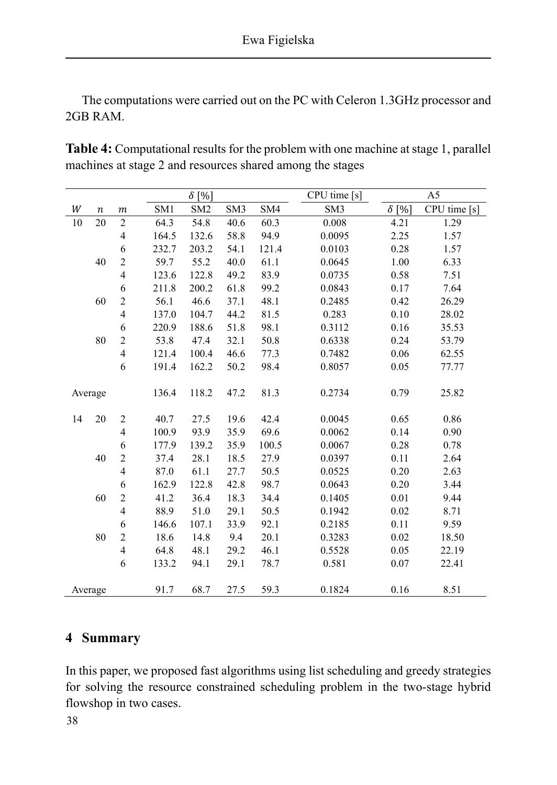The computations were carried out on the PC with Celeron 1.3GHz processor and 2GB RAM.

| Table 4: Computational results for the problem with one machine at stage 1, parallel |
|--------------------------------------------------------------------------------------|
| machines at stage 2 and resources shared among the stages                            |

|    |                  |                          |                 | $\delta$ [%]    |                 | CPU time [s] | A5              |              |              |
|----|------------------|--------------------------|-----------------|-----------------|-----------------|--------------|-----------------|--------------|--------------|
| W  | $\boldsymbol{n}$ | $\boldsymbol{m}$         | SM <sub>1</sub> | SM <sub>2</sub> | SM <sub>3</sub> | SM4          | SM <sub>3</sub> | $\delta$ [%] | CPU time [s] |
| 10 | 20               | $\sqrt{2}$               | 64.3            | 54.8            | 40.6            | 60.3         | 0.008           | 4.21         | 1.29         |
|    |                  | 4                        | 164.5           | 132.6           | 58.8            | 94.9         | 0.0095          | 2.25         | 1.57         |
|    |                  | $\epsilon$               | 232.7           | 203.2           | 54.1            | 121.4        | 0.0103          | 0.28         | 1.57         |
|    | 40               | $\overline{c}$           | 59.7            | 55.2            | 40.0            | 61.1         | 0.0645          | 1.00         | 6.33         |
|    |                  | $\overline{\mathbf{4}}$  | 123.6           | 122.8           | 49.2            | 83.9         | 0.0735          | 0.58         | 7.51         |
|    |                  | 6                        | 211.8           | 200.2           | 61.8            | 99.2         | 0.0843          | 0.17         | 7.64         |
|    | 60               | $\overline{c}$           | 56.1            | 46.6            | 37.1            | 48.1         | 0.2485          | 0.42         | 26.29        |
|    |                  | $\overline{\mathcal{L}}$ | 137.0           | 104.7           | 44.2            | 81.5         | 0.283           | 0.10         | 28.02        |
|    |                  | 6                        | 220.9           | 188.6           | 51.8            | 98.1         | 0.3112          | 0.16         | 35.53        |
|    | 80               | $\overline{c}$           | 53.8            | 47.4            | 32.1            | 50.8         | 0.6338          | 0.24         | 53.79        |
|    |                  | $\overline{\mathcal{L}}$ | 121.4           | 100.4           | 46.6            | 77.3         | 0.7482          | 0.06         | 62.55        |
|    |                  | 6                        | 191.4           | 162.2           | 50.2            | 98.4         | 0.8057          | 0.05         | 77.77        |
|    | Average          |                          | 136.4           | 118.2           | 47.2            | 81.3         | 0.2734          | 0.79         | 25.82        |
| 14 | 20               | $\sqrt{2}$               | 40.7            | 27.5            | 19.6            | 42.4         | 0.0045          | 0.65         | 0.86         |
|    |                  | $\overline{\mathcal{L}}$ | 100.9           | 93.9            | 35.9            | 69.6         | 0.0062          | 0.14         | 0.90         |
|    |                  | $\epsilon$               | 177.9           | 139.2           | 35.9            | 100.5        | 0.0067          | 0.28         | 0.78         |
|    | 40               | $\overline{c}$           | 37.4            | 28.1            | 18.5            | 27.9         | 0.0397          | 0.11         | 2.64         |
|    |                  | $\overline{\mathcal{L}}$ | 87.0            | 61.1            | 27.7            | 50.5         | 0.0525          | 0.20         | 2.63         |
|    |                  | 6                        | 162.9           | 122.8           | 42.8            | 98.7         | 0.0643          | 0.20         | 3.44         |
|    | 60               | $\overline{c}$           | 41.2            | 36.4            | 18.3            | 34.4         | 0.1405          | 0.01         | 9.44         |
|    |                  | $\overline{\mathbf{4}}$  | 88.9            | 51.0            | 29.1            | 50.5         | 0.1942          | 0.02         | 8.71         |
|    |                  | 6                        | 146.6           | 107.1           | 33.9            | 92.1         | 0.2185          | 0.11         | 9.59         |
|    | 80               | $\overline{c}$           | 18.6            | 14.8            | 9.4             | 20.1         | 0.3283          | 0.02         | 18.50        |
|    |                  | $\overline{\mathcal{L}}$ | 64.8            | 48.1            | 29.2            | 46.1         | 0.5528          | 0.05         | 22.19        |
|    |                  | 6                        | 133.2           | 94.1            | 29.1            | 78.7         | 0.581           | 0.07         | 22.41        |
|    | Average          |                          | 91.7            | 68.7            | 27.5            | 59.3         | 0.1824          | 0.16         | 8.51         |

## **4 Summary**

In this paper, we proposed fast algorithms using list scheduling and greedy strategies for solving the resource constrained scheduling problem in the two-stage hybrid flowshop in two cases.

38